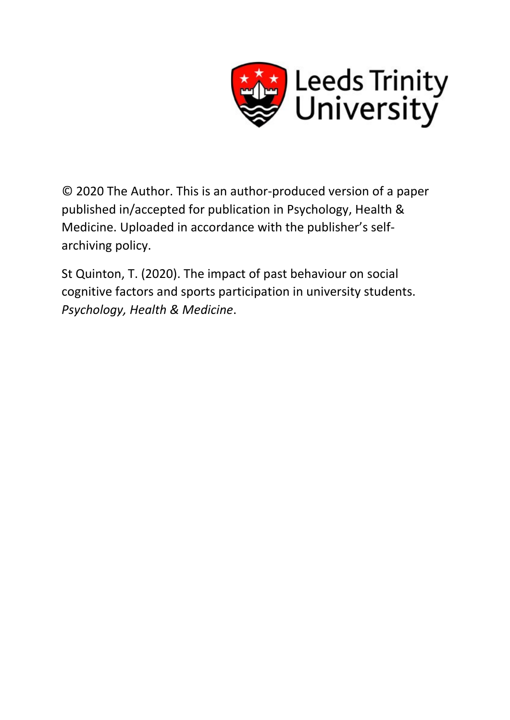

© 2020 The Author. This is an author-produced version of a paper published in/accepted for publication in Psychology, Health & Medicine. Uploaded in accordance with the publisher's selfarchiving policy.

St Quinton, T. (2020). The impact of past behaviour on social cognitive factors and sports participation in university students. *Psychology, Health & Medicine*.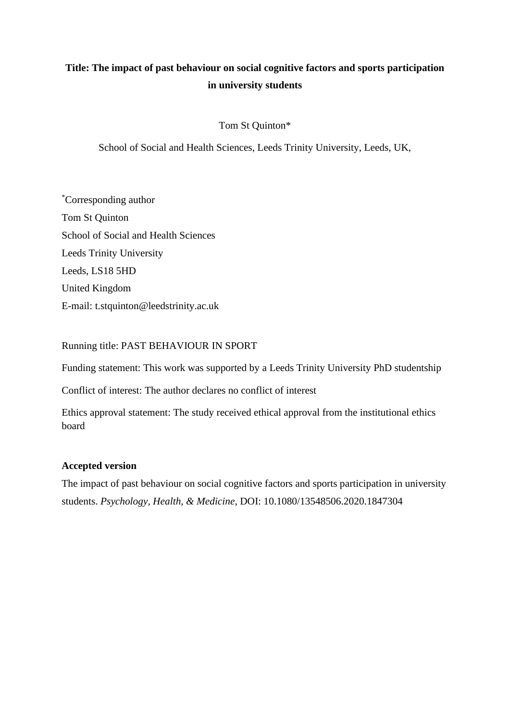# **Title: The impact of past behaviour on social cognitive factors and sports participation in university students**

# Tom St Quinton\*

School of Social and Health Sciences, Leeds Trinity University, Leeds, UK,

\*Corresponding author Tom St Quinton School of Social and Health Sciences Leeds Trinity University Leeds, LS18 5HD United Kingdom E-mail: t.stquinton@leedstrinity.ac.uk

# Running title: PAST BEHAVIOUR IN SPORT

Funding statement: This work was supported by a Leeds Trinity University PhD studentship

Conflict of interest: The author declares no conflict of interest

Ethics approval statement: The study received ethical approval from the institutional ethics board

# **Accepted version**

The impact of past behaviour on social cognitive factors and sports participation in university students. *Psychology, Health, & Medicine*, DOI: [10.1080/13548506.2020.1847304](https://doi.org/10.1080/13548506.2020.1847304)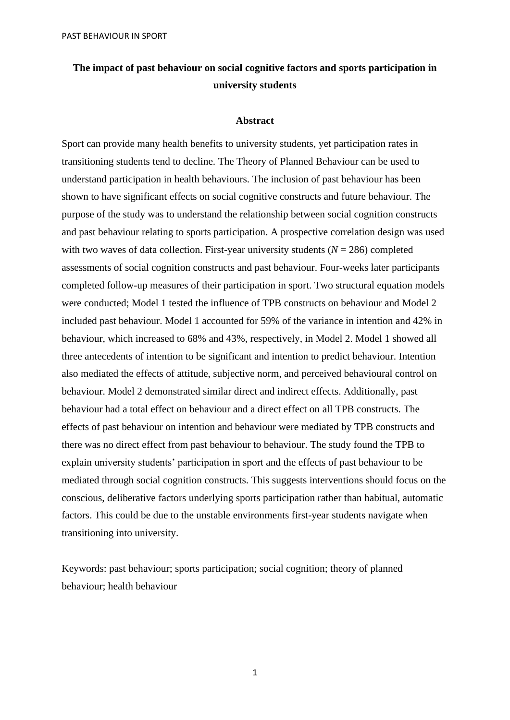# **The impact of past behaviour on social cognitive factors and sports participation in university students**

### **Abstract**

Sport can provide many health benefits to university students, yet participation rates in transitioning students tend to decline. The Theory of Planned Behaviour can be used to understand participation in health behaviours. The inclusion of past behaviour has been shown to have significant effects on social cognitive constructs and future behaviour. The purpose of the study was to understand the relationship between social cognition constructs and past behaviour relating to sports participation. A prospective correlation design was used with two waves of data collection. First-year university students  $(N = 286)$  completed assessments of social cognition constructs and past behaviour. Four-weeks later participants completed follow-up measures of their participation in sport. Two structural equation models were conducted; Model 1 tested the influence of TPB constructs on behaviour and Model 2 included past behaviour. Model 1 accounted for 59% of the variance in intention and 42% in behaviour, which increased to 68% and 43%, respectively, in Model 2. Model 1 showed all three antecedents of intention to be significant and intention to predict behaviour. Intention also mediated the effects of attitude, subjective norm, and perceived behavioural control on behaviour. Model 2 demonstrated similar direct and indirect effects. Additionally, past behaviour had a total effect on behaviour and a direct effect on all TPB constructs. The effects of past behaviour on intention and behaviour were mediated by TPB constructs and there was no direct effect from past behaviour to behaviour. The study found the TPB to explain university students' participation in sport and the effects of past behaviour to be mediated through social cognition constructs. This suggests interventions should focus on the conscious, deliberative factors underlying sports participation rather than habitual, automatic factors. This could be due to the unstable environments first-year students navigate when transitioning into university.

Keywords: past behaviour; sports participation; social cognition; theory of planned behaviour; health behaviour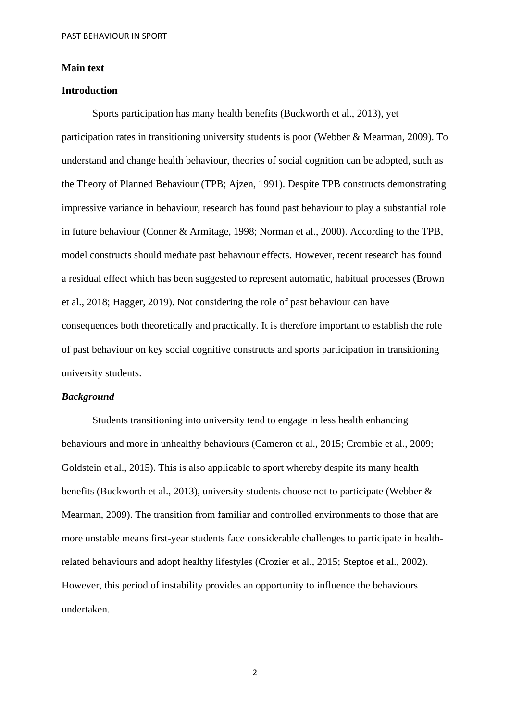#### **Main text**

### **Introduction**

Sports participation has many health benefits (Buckworth et al., 2013), yet participation rates in transitioning university students is poor (Webber & Mearman, 2009). To understand and change health behaviour, theories of social cognition can be adopted, such as the Theory of Planned Behaviour (TPB; Ajzen, 1991). Despite TPB constructs demonstrating impressive variance in behaviour, research has found past behaviour to play a substantial role in future behaviour (Conner & Armitage, 1998; Norman et al., 2000). According to the TPB, model constructs should mediate past behaviour effects. However, recent research has found a residual effect which has been suggested to represent automatic, habitual processes (Brown et al., 2018; Hagger, 2019). Not considering the role of past behaviour can have consequences both theoretically and practically. It is therefore important to establish the role of past behaviour on key social cognitive constructs and sports participation in transitioning university students.

#### *Background*

Students transitioning into university tend to engage in less health enhancing behaviours and more in unhealthy behaviours (Cameron et al., 2015; Crombie et al., 2009; Goldstein et al., 2015). This is also applicable to sport whereby despite its many health benefits (Buckworth et al., 2013), university students choose not to participate (Webber & Mearman, 2009). The transition from familiar and controlled environments to those that are more unstable means first-year students face considerable challenges to participate in healthrelated behaviours and adopt healthy lifestyles (Crozier et al., 2015; Steptoe et al., 2002). However, this period of instability provides an opportunity to influence the behaviours undertaken.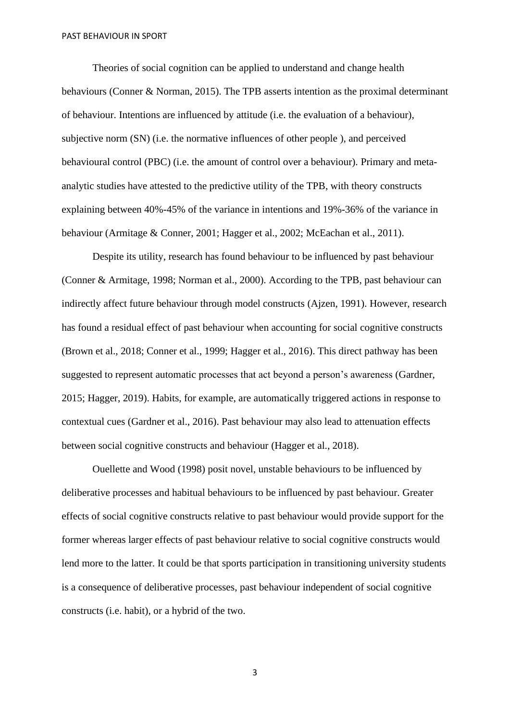Theories of social cognition can be applied to understand and change health behaviours (Conner & Norman, 2015). The TPB asserts intention as the proximal determinant of behaviour. Intentions are influenced by attitude (i.e. the evaluation of a behaviour), subjective norm (SN) (i.e. the normative influences of other people ), and perceived behavioural control (PBC) (i.e. the amount of control over a behaviour). Primary and metaanalytic studies have attested to the predictive utility of the TPB, with theory constructs explaining between 40%-45% of the variance in intentions and 19%-36% of the variance in behaviour (Armitage & Conner, 2001; Hagger et al., 2002; McEachan et al., 2011).

Despite its utility, research has found behaviour to be influenced by past behaviour (Conner & Armitage, 1998; Norman et al., 2000). According to the TPB, past behaviour can indirectly affect future behaviour through model constructs (Ajzen, 1991). However, research has found a residual effect of past behaviour when accounting for social cognitive constructs (Brown et al., 2018; Conner et al., 1999; Hagger et al., 2016). This direct pathway has been suggested to represent automatic processes that act beyond a person's awareness (Gardner, 2015; Hagger, 2019). Habits, for example, are automatically triggered actions in response to contextual cues (Gardner et al., 2016). Past behaviour may also lead to attenuation effects between social cognitive constructs and behaviour (Hagger et al., 2018).

Ouellette and Wood (1998) posit novel, unstable behaviours to be influenced by deliberative processes and habitual behaviours to be influenced by past behaviour. Greater effects of social cognitive constructs relative to past behaviour would provide support for the former whereas larger effects of past behaviour relative to social cognitive constructs would lend more to the latter. It could be that sports participation in transitioning university students is a consequence of deliberative processes, past behaviour independent of social cognitive constructs (i.e. habit), or a hybrid of the two.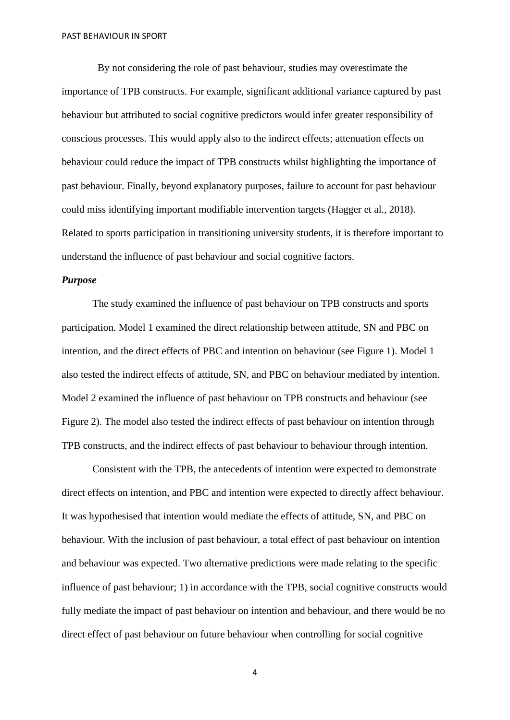By not considering the role of past behaviour, studies may overestimate the importance of TPB constructs. For example, significant additional variance captured by past behaviour but attributed to social cognitive predictors would infer greater responsibility of conscious processes. This would apply also to the indirect effects; attenuation effects on behaviour could reduce the impact of TPB constructs whilst highlighting the importance of past behaviour. Finally, beyond explanatory purposes, failure to account for past behaviour could miss identifying important modifiable intervention targets (Hagger et al., 2018). Related to sports participation in transitioning university students, it is therefore important to understand the influence of past behaviour and social cognitive factors.

#### *Purpose*

The study examined the influence of past behaviour on TPB constructs and sports participation. Model 1 examined the direct relationship between attitude, SN and PBC on intention, and the direct effects of PBC and intention on behaviour (see Figure 1). Model 1 also tested the indirect effects of attitude, SN, and PBC on behaviour mediated by intention. Model 2 examined the influence of past behaviour on TPB constructs and behaviour (see Figure 2). The model also tested the indirect effects of past behaviour on intention through TPB constructs, and the indirect effects of past behaviour to behaviour through intention.

Consistent with the TPB, the antecedents of intention were expected to demonstrate direct effects on intention, and PBC and intention were expected to directly affect behaviour. It was hypothesised that intention would mediate the effects of attitude, SN, and PBC on behaviour. With the inclusion of past behaviour, a total effect of past behaviour on intention and behaviour was expected. Two alternative predictions were made relating to the specific influence of past behaviour; 1) in accordance with the TPB, social cognitive constructs would fully mediate the impact of past behaviour on intention and behaviour, and there would be no direct effect of past behaviour on future behaviour when controlling for social cognitive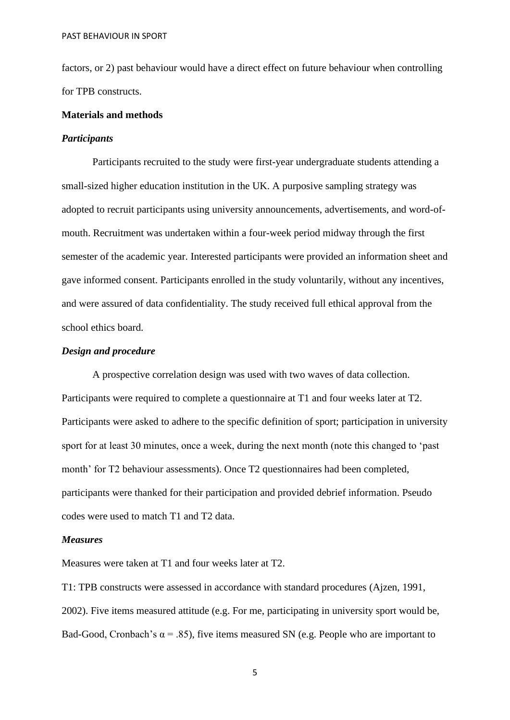factors, or 2) past behaviour would have a direct effect on future behaviour when controlling for TPB constructs.

#### **Materials and methods**

#### *Participants*

Participants recruited to the study were first-year undergraduate students attending a small-sized higher education institution in the UK. A purposive sampling strategy was adopted to recruit participants using university announcements, advertisements, and word-ofmouth. Recruitment was undertaken within a four-week period midway through the first semester of the academic year. Interested participants were provided an information sheet and gave informed consent. Participants enrolled in the study voluntarily, without any incentives, and were assured of data confidentiality. The study received full ethical approval from the school ethics board.

## *Design and procedure*

A prospective correlation design was used with two waves of data collection. Participants were required to complete a questionnaire at T1 and four weeks later at T2. Participants were asked to adhere to the specific definition of sport; participation in university sport for at least 30 minutes, once a week, during the next month (note this changed to 'past month' for T2 behaviour assessments). Once T2 questionnaires had been completed, participants were thanked for their participation and provided debrief information. Pseudo codes were used to match T1 and T2 data.

#### *Measures*

Measures were taken at T1 and four weeks later at T2.

T1: TPB constructs were assessed in accordance with standard procedures (Ajzen, 1991, 2002). Five items measured attitude (e.g. For me, participating in university sport would be, Bad-Good, Cronbach's  $\alpha$  = .85), five items measured SN (e.g. People who are important to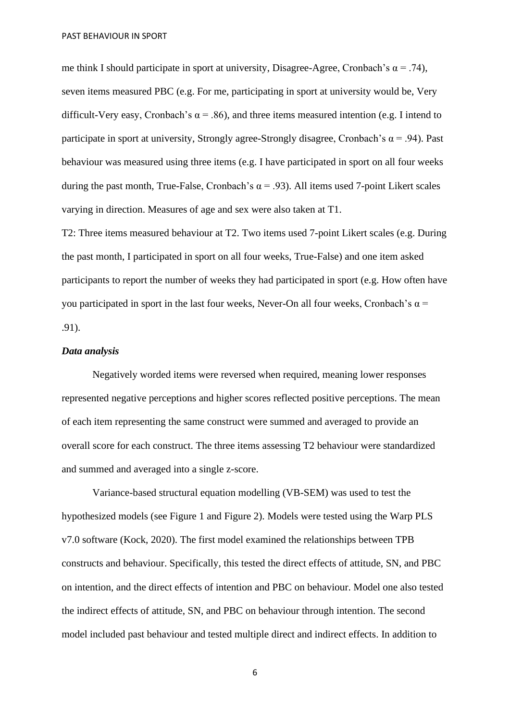me think I should participate in sport at university, Disagree-Agree, Cronbach's  $\alpha = .74$ ), seven items measured PBC (e.g. For me, participating in sport at university would be, Very difficult-Very easy, Cronbach's  $\alpha$  = .86), and three items measured intention (e.g. I intend to participate in sport at university, Strongly agree-Strongly disagree, Cronbach's  $\alpha$  = .94). Past behaviour was measured using three items (e.g. I have participated in sport on all four weeks during the past month, True-False, Cronbach's  $\alpha$  = .93). All items used 7-point Likert scales varying in direction. Measures of age and sex were also taken at T1.

T2: Three items measured behaviour at T2. Two items used 7-point Likert scales (e.g. During the past month, I participated in sport on all four weeks, True-False) and one item asked participants to report the number of weeks they had participated in sport (e.g. How often have you participated in sport in the last four weeks, Never-On all four weeks, Cronbach's  $\alpha$  = .91).

## *Data analysis*

Negatively worded items were reversed when required, meaning lower responses represented negative perceptions and higher scores reflected positive perceptions. The mean of each item representing the same construct were summed and averaged to provide an overall score for each construct. The three items assessing T2 behaviour were standardized and summed and averaged into a single z-score.

Variance-based structural equation modelling (VB-SEM) was used to test the hypothesized models (see Figure 1 and Figure 2). Models were tested using the Warp PLS v7.0 software (Kock, 2020). The first model examined the relationships between TPB constructs and behaviour. Specifically, this tested the direct effects of attitude, SN, and PBC on intention, and the direct effects of intention and PBC on behaviour. Model one also tested the indirect effects of attitude, SN, and PBC on behaviour through intention. The second model included past behaviour and tested multiple direct and indirect effects. In addition to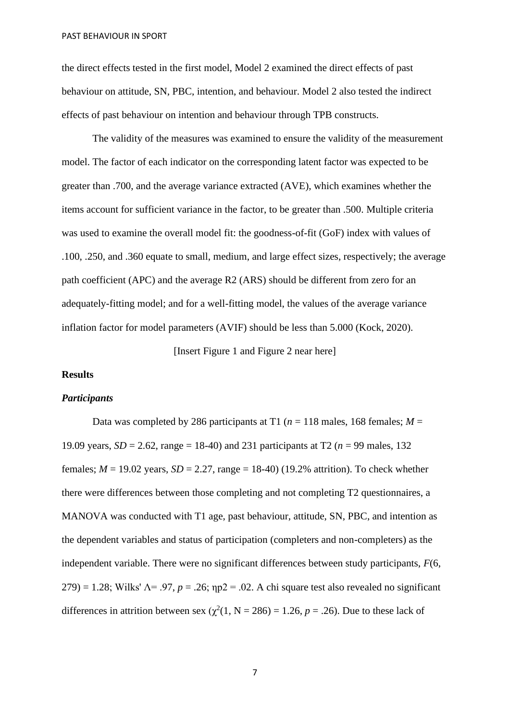the direct effects tested in the first model, Model 2 examined the direct effects of past behaviour on attitude, SN, PBC, intention, and behaviour. Model 2 also tested the indirect effects of past behaviour on intention and behaviour through TPB constructs.

The validity of the measures was examined to ensure the validity of the measurement model. The factor of each indicator on the corresponding latent factor was expected to be greater than .700, and the average variance extracted (AVE), which examines whether the items account for sufficient variance in the factor, to be greater than .500. Multiple criteria was used to examine the overall model fit: the goodness-of-fit (GoF) index with values of .100, .250, and .360 equate to small, medium, and large effect sizes, respectively; the average path coefficient (APC) and the average R2 (ARS) should be different from zero for an adequately-fitting model; and for a well-fitting model, the values of the average variance inflation factor for model parameters (AVIF) should be less than 5.000 (Kock, 2020).

[Insert Figure 1 and Figure 2 near here]

#### **Results**

#### *Participants*

Data was completed by 286 participants at T1 ( $n = 118$  males, 168 females;  $M =$ 19.09 years,  $SD = 2.62$ , range = 18-40) and 231 participants at T2 ( $n = 99$  males, 132 females;  $M = 19.02$  years,  $SD = 2.27$ , range = 18-40) (19.2% attrition). To check whether there were differences between those completing and not completing T2 questionnaires, a MANOVA was conducted with T1 age, past behaviour, attitude, SN, PBC, and intention as the dependent variables and status of participation (completers and non-completers) as the independent variable. There were no significant differences between study participants, *F*(6, 279) = 1.28; Wilks'  $\Lambda$ = .97,  $p = 0.26$ ;  $np2 = 0.02$ . A chi square test also revealed no significant differences in attrition between sex  $(\chi^2(1, N = 286) = 1.26, p = .26)$ . Due to these lack of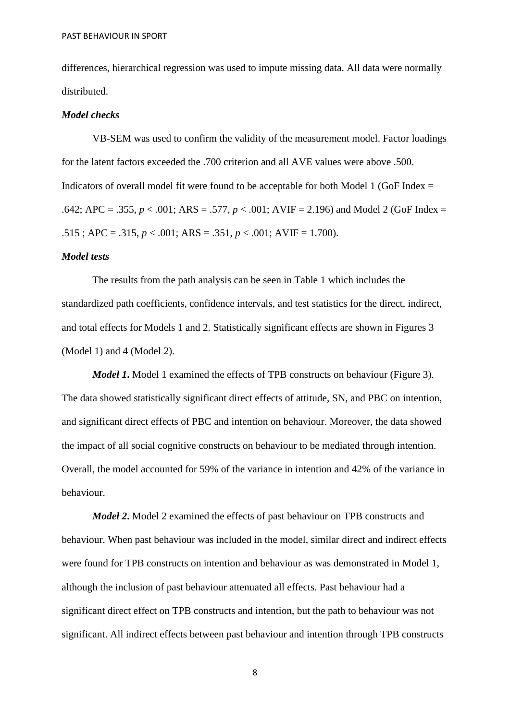differences, hierarchical regression was used to impute missing data. All data were normally distributed.

#### *Model checks*

VB-SEM was used to confirm the validity of the measurement model. Factor loadings for the latent factors exceeded the .700 criterion and all AVE values were above .500. Indicators of overall model fit were found to be acceptable for both Model 1 (GoF Index  $=$ .642; APC = .355, *p* < .001; ARS = .577, *p* < .001; AVIF = 2.196) and Model 2 (GoF Index =  $.515$ ; APC = .315,  $p < .001$ ; ARS = .351,  $p < .001$ ; AVIF = 1.700).

## *Model tests*

The results from the path analysis can be seen in Table 1 which includes the standardized path coefficients, confidence intervals, and test statistics for the direct, indirect, and total effects for Models 1 and 2. Statistically significant effects are shown in Figures 3 (Model 1) and 4 (Model 2).

*Model 1*. Model 1 examined the effects of TPB constructs on behaviour (Figure 3). The data showed statistically significant direct effects of attitude, SN, and PBC on intention, and significant direct effects of PBC and intention on behaviour. Moreover, the data showed the impact of all social cognitive constructs on behaviour to be mediated through intention. Overall, the model accounted for 59% of the variance in intention and 42% of the variance in behaviour.

*Model 2***.** Model 2 examined the effects of past behaviour on TPB constructs and behaviour. When past behaviour was included in the model, similar direct and indirect effects were found for TPB constructs on intention and behaviour as was demonstrated in Model 1, although the inclusion of past behaviour attenuated all effects. Past behaviour had a significant direct effect on TPB constructs and intention, but the path to behaviour was not significant. All indirect effects between past behaviour and intention through TPB constructs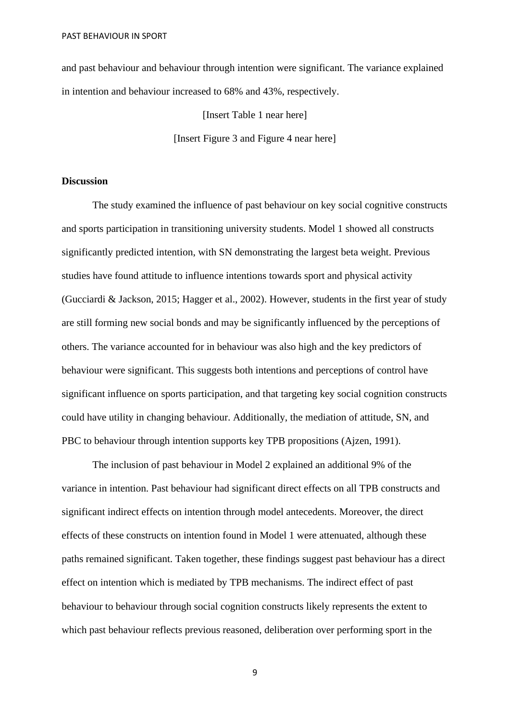and past behaviour and behaviour through intention were significant. The variance explained in intention and behaviour increased to 68% and 43%, respectively.

> [Insert Table 1 near here] [Insert Figure 3 and Figure 4 near here]

### **Discussion**

The study examined the influence of past behaviour on key social cognitive constructs and sports participation in transitioning university students. Model 1 showed all constructs significantly predicted intention, with SN demonstrating the largest beta weight. Previous studies have found attitude to influence intentions towards sport and physical activity (Gucciardi & Jackson, 2015; Hagger et al., 2002). However, students in the first year of study are still forming new social bonds and may be significantly influenced by the perceptions of others. The variance accounted for in behaviour was also high and the key predictors of behaviour were significant. This suggests both intentions and perceptions of control have significant influence on sports participation, and that targeting key social cognition constructs could have utility in changing behaviour. Additionally, the mediation of attitude, SN, and PBC to behaviour through intention supports key TPB propositions (Ajzen, 1991).

The inclusion of past behaviour in Model 2 explained an additional 9% of the variance in intention. Past behaviour had significant direct effects on all TPB constructs and significant indirect effects on intention through model antecedents. Moreover, the direct effects of these constructs on intention found in Model 1 were attenuated, although these paths remained significant. Taken together, these findings suggest past behaviour has a direct effect on intention which is mediated by TPB mechanisms. The indirect effect of past behaviour to behaviour through social cognition constructs likely represents the extent to which past behaviour reflects previous reasoned, deliberation over performing sport in the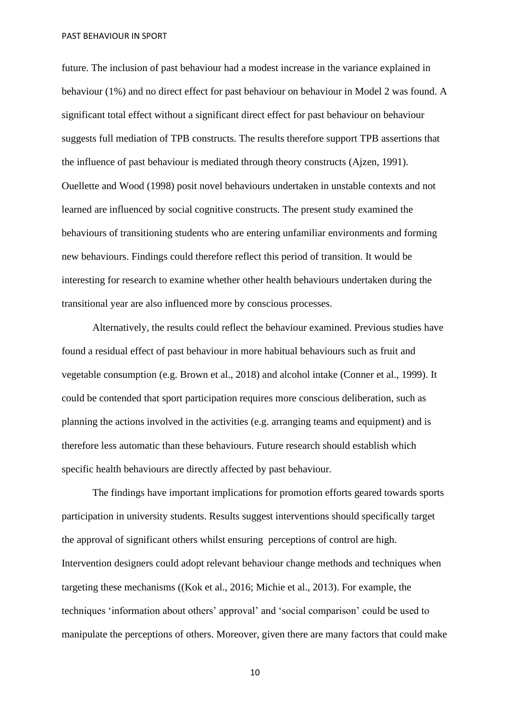future. The inclusion of past behaviour had a modest increase in the variance explained in behaviour (1%) and no direct effect for past behaviour on behaviour in Model 2 was found. A significant total effect without a significant direct effect for past behaviour on behaviour suggests full mediation of TPB constructs. The results therefore support TPB assertions that the influence of past behaviour is mediated through theory constructs (Ajzen, 1991). Ouellette and Wood (1998) posit novel behaviours undertaken in unstable contexts and not learned are influenced by social cognitive constructs. The present study examined the behaviours of transitioning students who are entering unfamiliar environments and forming new behaviours. Findings could therefore reflect this period of transition. It would be interesting for research to examine whether other health behaviours undertaken during the transitional year are also influenced more by conscious processes.

Alternatively, the results could reflect the behaviour examined. Previous studies have found a residual effect of past behaviour in more habitual behaviours such as fruit and vegetable consumption (e.g. Brown et al., 2018) and alcohol intake (Conner et al., 1999). It could be contended that sport participation requires more conscious deliberation, such as planning the actions involved in the activities (e.g. arranging teams and equipment) and is therefore less automatic than these behaviours. Future research should establish which specific health behaviours are directly affected by past behaviour.

The findings have important implications for promotion efforts geared towards sports participation in university students. Results suggest interventions should specifically target the approval of significant others whilst ensuring perceptions of control are high. Intervention designers could adopt relevant behaviour change methods and techniques when targeting these mechanisms ((Kok et al., 2016; Michie et al., 2013). For example, the techniques 'information about others' approval' and 'social comparison' could be used to manipulate the perceptions of others. Moreover, given there are many factors that could make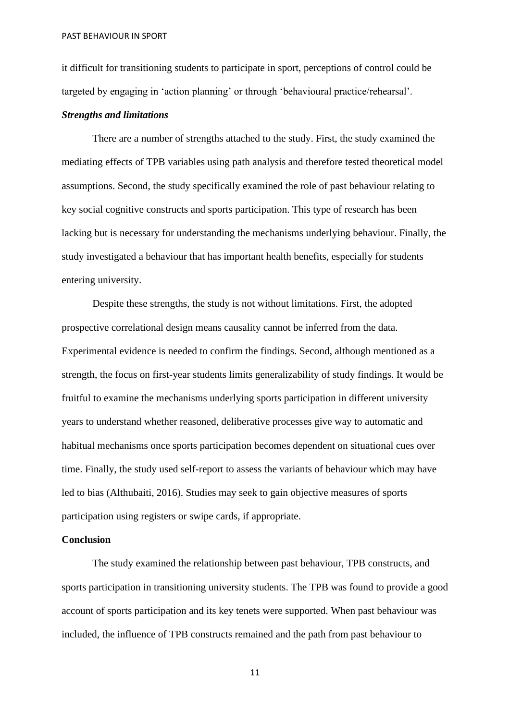it difficult for transitioning students to participate in sport, perceptions of control could be targeted by engaging in 'action planning' or through 'behavioural practice/rehearsal'.

#### *Strengths and limitations*

There are a number of strengths attached to the study. First, the study examined the mediating effects of TPB variables using path analysis and therefore tested theoretical model assumptions. Second, the study specifically examined the role of past behaviour relating to key social cognitive constructs and sports participation. This type of research has been lacking but is necessary for understanding the mechanisms underlying behaviour. Finally, the study investigated a behaviour that has important health benefits, especially for students entering university.

Despite these strengths, the study is not without limitations. First, the adopted prospective correlational design means causality cannot be inferred from the data. Experimental evidence is needed to confirm the findings. Second, although mentioned as a strength, the focus on first-year students limits generalizability of study findings. It would be fruitful to examine the mechanisms underlying sports participation in different university years to understand whether reasoned, deliberative processes give way to automatic and habitual mechanisms once sports participation becomes dependent on situational cues over time. Finally, the study used self-report to assess the variants of behaviour which may have led to bias (Althubaiti, 2016). Studies may seek to gain objective measures of sports participation using registers or swipe cards, if appropriate.

## **Conclusion**

The study examined the relationship between past behaviour, TPB constructs, and sports participation in transitioning university students. The TPB was found to provide a good account of sports participation and its key tenets were supported. When past behaviour was included, the influence of TPB constructs remained and the path from past behaviour to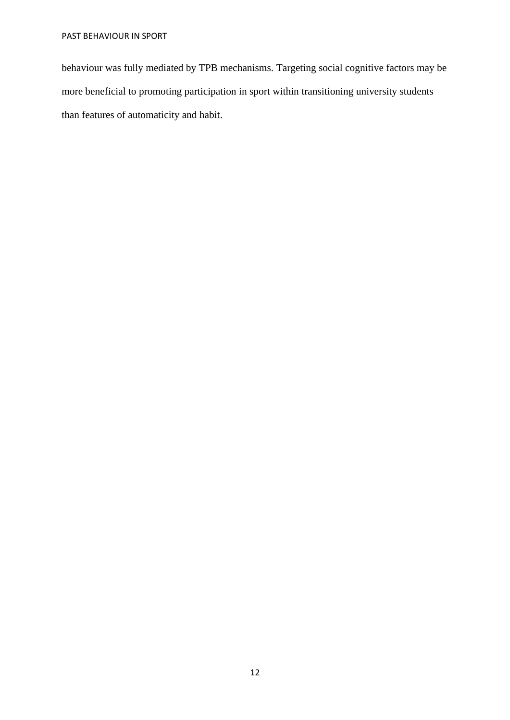behaviour was fully mediated by TPB mechanisms. Targeting social cognitive factors may be more beneficial to promoting participation in sport within transitioning university students than features of automaticity and habit.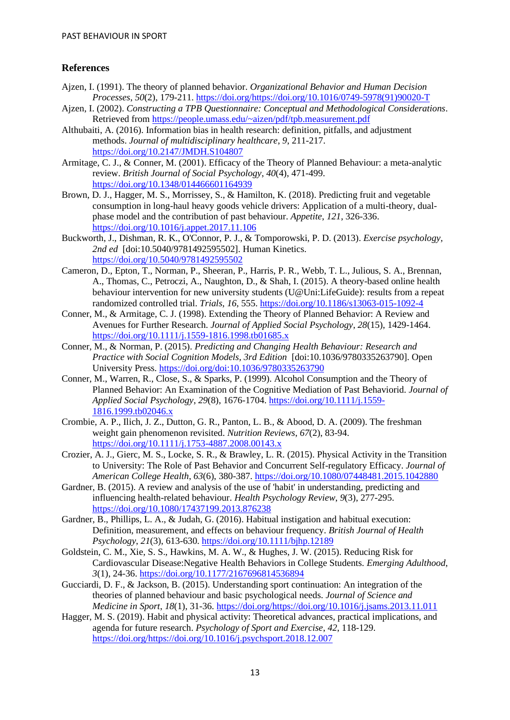# **References**

- Ajzen, I. (1991). The theory of planned behavior. *Organizational Behavior and Human Decision Processes*, *50*(2), 179-211. [https://doi.org/https://doi.org/10.1016/0749-5978\(91\)90020-T](https://doi.org/https:/doi.org/10.1016/0749-5978(91)90020-T)
- Ajzen, I. (2002). *Constructing a TPB Questionnaire: Conceptual and Methodological Considerations*. Retrieved from<https://people.umass.edu/~aizen/pdf/tpb.measurement.pdf>
- Althubaiti, A. (2016). Information bias in health research: definition, pitfalls, and adjustment methods. *Journal of multidisciplinary healthcare*, *9*, 211-217. <https://doi.org/10.2147/JMDH.S104807>
- Armitage, C. J., & Conner, M. (2001). Efficacy of the Theory of Planned Behaviour: a meta-analytic review. *British Journal of Social Psychology*, *40*(4), 471-499. <https://doi.org/10.1348/014466601164939>
- Brown, D. J., Hagger, M. S., Morrissey, S., & Hamilton, K. (2018). Predicting fruit and vegetable consumption in long-haul heavy goods vehicle drivers: Application of a multi-theory, dualphase model and the contribution of past behaviour. *Appetite*, *121*, 326-336. <https://doi.org/10.1016/j.appet.2017.11.106>
- Buckworth, J., Dishman, R. K., O'Connor, P. J., & Tomporowski, P. D. (2013). *Exercise psychology, 2nd ed* [doi:10.5040/9781492595502]. Human Kinetics. <https://doi.org/10.5040/9781492595502>
- Cameron, D., Epton, T., Norman, P., Sheeran, P., Harris, P. R., Webb, T. L., Julious, S. A., Brennan, A., Thomas, C., Petroczi, A., Naughton, D., & Shah, I. (2015). A theory-based online health behaviour intervention for new university students (U@Uni:LifeGuide): results from a repeat randomized controlled trial. *Trials*, *16*, 555[. https://doi.org/10.1186/s13063-015-1092-4](https://doi.org/10.1186/s13063-015-1092-4)
- Conner, M., & Armitage, C. J. (1998). Extending the Theory of Planned Behavior: A Review and Avenues for Further Research. *Journal of Applied Social Psychology*, *28*(15), 1429-1464. <https://doi.org/10.1111/j.1559-1816.1998.tb01685.x>
- Conner, M., & Norman, P. (2015). *Predicting and Changing Health Behaviour: Research and Practice with Social Cognition Models, 3rd Edition* [doi:10.1036/9780335263790]. Open University Press.<https://doi.org/doi:10.1036/9780335263790>
- Conner, M., Warren, R., Close, S., & Sparks, P. (1999). Alcohol Consumption and the Theory of Planned Behavior: An Examination of the Cognitive Mediation of Past Behaviorid. *Journal of Applied Social Psychology*, *29*(8), 1676-1704. [https://doi.org/10.1111/j.1559-](https://doi.org/10.1111/j.1559-1816.1999.tb02046.x) [1816.1999.tb02046.x](https://doi.org/10.1111/j.1559-1816.1999.tb02046.x)
- Crombie, A. P., Ilich, J. Z., Dutton, G. R., Panton, L. B., & Abood, D. A. (2009). The freshman weight gain phenomenon revisited. *Nutrition Reviews*, *67*(2), 83-94. <https://doi.org/10.1111/j.1753-4887.2008.00143.x>
- Crozier, A. J., Gierc, M. S., Locke, S. R., & Brawley, L. R. (2015). Physical Activity in the Transition to University: The Role of Past Behavior and Concurrent Self-regulatory Efficacy. *Journal of American College Health*, *63*(6), 380-387.<https://doi.org/10.1080/07448481.2015.1042880>
- Gardner, B. (2015). A review and analysis of the use of 'habit' in understanding, predicting and influencing health-related behaviour. *Health Psychology Review*, *9*(3), 277-295. <https://doi.org/10.1080/17437199.2013.876238>
- Gardner, B., Phillips, L. A., & Judah, G. (2016). Habitual instigation and habitual execution: Definition, measurement, and effects on behaviour frequency. *British Journal of Health Psychology*, *21*(3), 613-630.<https://doi.org/10.1111/bjhp.12189>
- Goldstein, C. M., Xie, S. S., Hawkins, M. A. W., & Hughes, J. W. (2015). Reducing Risk for Cardiovascular Disease:Negative Health Behaviors in College Students. *Emerging Adulthood*, *3*(1), 24-36.<https://doi.org/10.1177/2167696814536894>
- Gucciardi, D. F., & Jackson, B. (2015). Understanding sport continuation: An integration of the theories of planned behaviour and basic psychological needs. *Journal of Science and Medicine in Sport*, *18*(1), 31-36. [https://doi.org/https://doi.org/10.1016/j.jsams.2013.11.011](https://doi.org/https:/doi.org/10.1016/j.jsams.2013.11.011)
- Hagger, M. S. (2019). Habit and physical activity: Theoretical advances, practical implications, and agenda for future research. *Psychology of Sport and Exercise*, *42*, 118-129. [https://doi.org/https://doi.org/10.1016/j.psychsport.2018.12.007](https://doi.org/https:/doi.org/10.1016/j.psychsport.2018.12.007)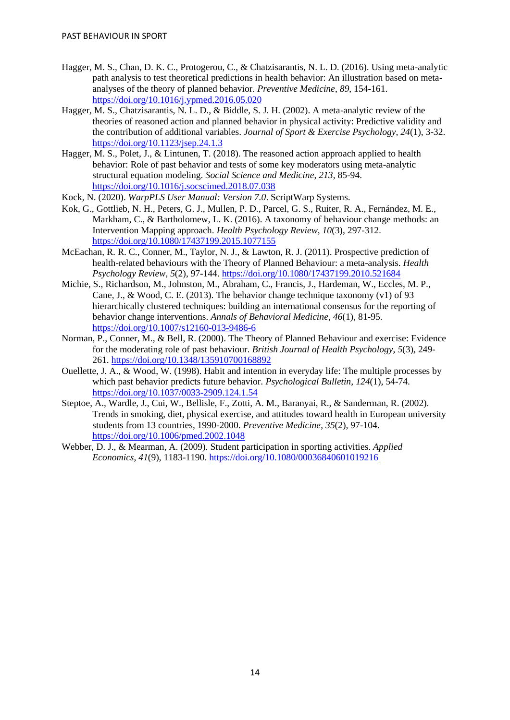- Hagger, M. S., Chan, D. K. C., Protogerou, C., & Chatzisarantis, N. L. D. (2016). Using meta-analytic path analysis to test theoretical predictions in health behavior: An illustration based on metaanalyses of the theory of planned behavior. *Preventive Medicine*, *89*, 154-161. <https://doi.org/10.1016/j.ypmed.2016.05.020>
- Hagger, M. S., Chatzisarantis, N. L. D., & Biddle, S. J. H. (2002). A meta-analytic review of the theories of reasoned action and planned behavior in physical activity: Predictive validity and the contribution of additional variables. *Journal of Sport & Exercise Psychology*, *24*(1), 3-32. <https://doi.org/10.1123/jsep.24.1.3>
- Hagger, M. S., Polet, J., & Lintunen, T. (2018). The reasoned action approach applied to health behavior: Role of past behavior and tests of some key moderators using meta-analytic structural equation modeling. *Social Science and Medicine*, *213*, 85-94. <https://doi.org/10.1016/j.socscimed.2018.07.038>
- Kock, N. (2020). *WarpPLS User Manual: Version 7.0*. ScriptWarp Systems.
- Kok, G., Gottlieb, N. H., Peters, G. J., Mullen, P. D., Parcel, G. S., Ruiter, R. A., Fernández, M. E., Markham, C., & Bartholomew, L. K. (2016). A taxonomy of behaviour change methods: an Intervention Mapping approach. *Health Psychology Review*, *10*(3), 297-312. <https://doi.org/10.1080/17437199.2015.1077155>
- McEachan, R. R. C., Conner, M., Taylor, N. J., & Lawton, R. J. (2011). Prospective prediction of health-related behaviours with the Theory of Planned Behaviour: a meta-analysis. *Health Psychology Review*, *5*(2), 97-144.<https://doi.org/10.1080/17437199.2010.521684>
- Michie, S., Richardson, M., Johnston, M., Abraham, C., Francis, J., Hardeman, W., Eccles, M. P., Cane, J., & Wood, C. E. (2013). The behavior change technique taxonomy (v1) of 93 hierarchically clustered techniques: building an international consensus for the reporting of behavior change interventions. *Annals of Behavioral Medicine*, *46*(1), 81-95. <https://doi.org/10.1007/s12160-013-9486-6>
- Norman, P., Conner, M., & Bell, R. (2000). The Theory of Planned Behaviour and exercise: Evidence for the moderating role of past behaviour. *British Journal of Health Psychology*, *5*(3), 249- 261.<https://doi.org/10.1348/135910700168892>
- Ouellette, J. A., & Wood, W. (1998). Habit and intention in everyday life: The multiple processes by which past behavior predicts future behavior. *Psychological Bulletin*, *124*(1), 54-74. <https://doi.org/10.1037/0033-2909.124.1.54>
- Steptoe, A., Wardle, J., Cui, W., Bellisle, F., Zotti, A. M., Baranyai, R., & Sanderman, R. (2002). Trends in smoking, diet, physical exercise, and attitudes toward health in European university students from 13 countries, 1990-2000. *Preventive Medicine*, *35*(2), 97-104. <https://doi.org/10.1006/pmed.2002.1048>
- Webber, D. J., & Mearman, A. (2009). Student participation in sporting activities. *Applied Economics*, *41*(9), 1183-1190.<https://doi.org/10.1080/00036840601019216>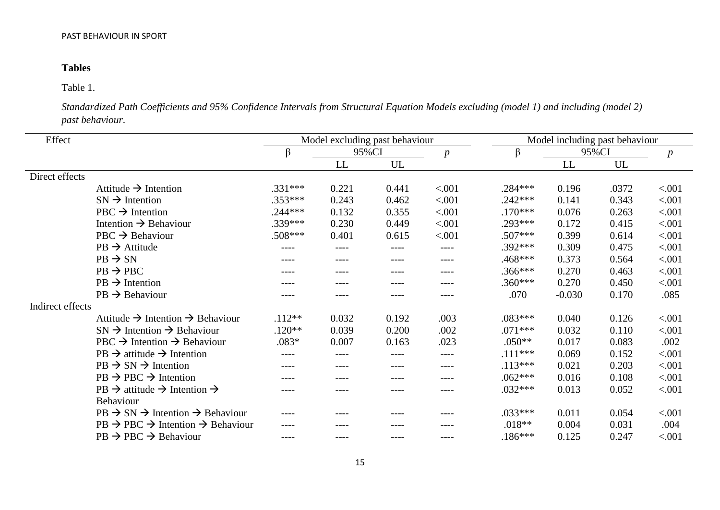# **Tables**

# Table 1.

*Standardized Path Coefficients and 95% Confidence Intervals from Structural Equation Models excluding (model 1) and including (model 2) past behaviour*.

| Effect           |                                                                   | Model excluding past behaviour |       |       |                  | Model including past behaviour |          |       |                  |
|------------------|-------------------------------------------------------------------|--------------------------------|-------|-------|------------------|--------------------------------|----------|-------|------------------|
|                  |                                                                   | β                              | 95%CI |       | $\boldsymbol{p}$ | β                              | 95%CI    |       | $\boldsymbol{p}$ |
|                  |                                                                   |                                | LL    | UL    |                  |                                | LL       | UL    |                  |
| Direct effects   |                                                                   |                                |       |       |                  |                                |          |       |                  |
|                  | Attitude $\rightarrow$ Intention                                  | $.331***$                      | 0.221 | 0.441 | < .001           | $.284***$                      | 0.196    | .0372 | < .001           |
|                  | $SN \rightarrow$ Intention                                        | $.353***$                      | 0.243 | 0.462 | < .001           | $.242***$                      | 0.141    | 0.343 | < .001           |
|                  | $PBC \rightarrow Intention$                                       | $.244***$                      | 0.132 | 0.355 | < .001           | $.170***$                      | 0.076    | 0.263 | < .001           |
|                  | Intention $\rightarrow$ Behaviour                                 | .339***                        | 0.230 | 0.449 | < .001           | .293***                        | 0.172    | 0.415 | < .001           |
|                  | $PBC \rightarrow Behaviour$                                       | .508***                        | 0.401 | 0.615 | < .001           | $.507***$                      | 0.399    | 0.614 | < .001           |
|                  | $PB \rightarrow$ Attitude                                         |                                |       |       |                  | $.392***$                      | 0.309    | 0.475 | < .001           |
|                  | $PB \rightarrow SN$                                               | $---$                          | ----  | ----  | ----             | $.468***$                      | 0.373    | 0.564 | < .001           |
|                  | $PB \rightarrow PBC$                                              |                                |       |       | ----             | $.366***$                      | 0.270    | 0.463 | < .001           |
|                  | $PB \rightarrow Intention$                                        |                                |       |       | ----             | $.360***$                      | 0.270    | 0.450 | < .001           |
|                  | $PB \rightarrow Behaviour$                                        |                                |       | ----  |                  | .070                           | $-0.030$ | 0.170 | .085             |
| Indirect effects |                                                                   |                                |       |       |                  |                                |          |       |                  |
|                  | Attitude $\rightarrow$ Intention $\rightarrow$ Behaviour          | $.112**$                       | 0.032 | 0.192 | .003             | $.083***$                      | 0.040    | 0.126 | < .001           |
|                  | $SN \rightarrow$ Intention $\rightarrow$ Behaviour                | $.120**$                       | 0.039 | 0.200 | .002             | $.071***$                      | 0.032    | 0.110 | < .001           |
|                  | $PBC \rightarrow Intention \rightarrow Behavior$                  | $.083*$                        | 0.007 | 0.163 | .023             | $.050**$                       | 0.017    | 0.083 | .002             |
|                  | $PB \rightarrow$ attitude $\rightarrow$ Intention                 | $--- -$                        | ----  | ----  | ----             | $.111***$                      | 0.069    | 0.152 | < .001           |
|                  | $PB \rightarrow SN \rightarrow Intention$                         | ----                           | ----  | ----  | ----             | $.113***$                      | 0.021    | 0.203 | < .001           |
|                  | $PB \rightarrow PBC \rightarrow Intention$                        | ----                           |       | ----  | ----             | $.062***$                      | 0.016    | 0.108 | < .001           |
|                  | $PB \rightarrow$ attitude $\rightarrow$ Intention $\rightarrow$   | ----                           |       | ----  | ----             | $.032***$                      | 0.013    | 0.052 | < .001           |
|                  | <b>Behaviour</b>                                                  |                                |       |       |                  |                                |          |       |                  |
|                  | $PB \rightarrow SN \rightarrow$ Intention $\rightarrow$ Behaviour |                                |       |       |                  | $.033***$                      | 0.011    | 0.054 | < .001           |
|                  | $PB \rightarrow PBC \rightarrow Intention \rightarrow Behavior$   | $- - - -$                      |       | ----  |                  | $.018**$                       | 0.004    | 0.031 | .004             |
|                  | $PB \rightarrow PBC \rightarrow Behavior$                         | $- - - -$                      |       | ----  | ----             | $.186***$                      | 0.125    | 0.247 | < .001           |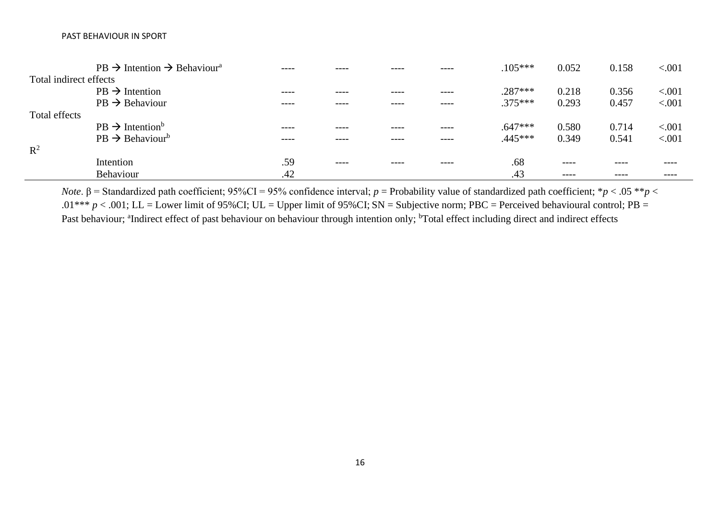|                        | $PB \rightarrow$ Intention $\rightarrow$ Behaviour <sup>a</sup> | ---- |       | ----  | $.105***$ | 0.052     | 0.158   | < 0.001 |
|------------------------|-----------------------------------------------------------------|------|-------|-------|-----------|-----------|---------|---------|
| Total indirect effects |                                                                 |      |       |       |           |           |         |         |
|                        | $PB \rightarrow Intention$                                      | ---- |       | $---$ | $.287***$ | 0.218     | 0.356   | < 0.001 |
|                        | $PB \rightarrow Behaviour$                                      | ---- |       | ----  | $.375***$ | 0.293     | 0.457   | < 0.001 |
| Total effects          |                                                                 |      |       |       |           |           |         |         |
|                        | $PB \rightarrow Intentionb$                                     | ---- |       | ----  | $.647***$ | 0.580     | 0.714   | < 0.001 |
|                        | $PB \rightarrow Behaviour^b$                                    | ---- |       | ----  | $.445***$ | 0.349     | 0.541   | < .001  |
| $R^2$                  |                                                                 |      |       |       |           |           |         |         |
|                        | Intention                                                       | .59  | $---$ | ----  | .68       | $- - - -$ | $- - -$ |         |
|                        | Behaviour                                                       | .42  |       |       | .43       | $- - - -$ | ----    | ----    |

*Note*. β = Standardized path coefficient; 95%CI = 95% confidence interval; *p* = Probability value of standardized path coefficient; \**p* < .05 \*\**p* < .01<sup>\*\*\*</sup> *p* < .001; LL = Lower limit of 95%CI; UL = Upper limit of 95%CI; SN = Subjective norm; PBC = Perceived behavioural control; PB = Past behaviour; <sup>a</sup>Indirect effect of past behaviour on behaviour through intention only; <sup>b</sup>Total effect including direct and indirect effects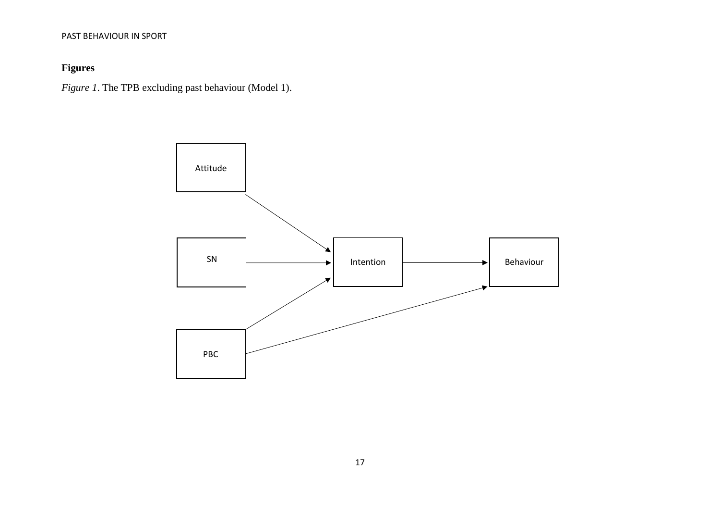# **Figures**

*Figure 1*. The TPB excluding past behaviour (Model 1).

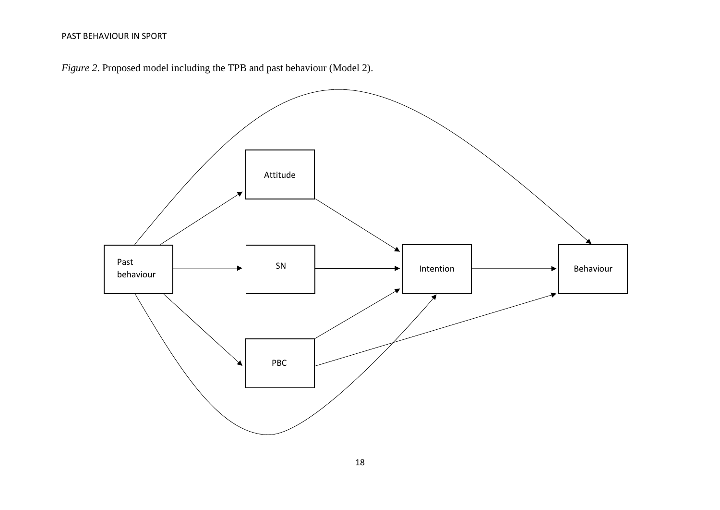*Figure 2*. Proposed model including the TPB and past behaviour (Model 2).

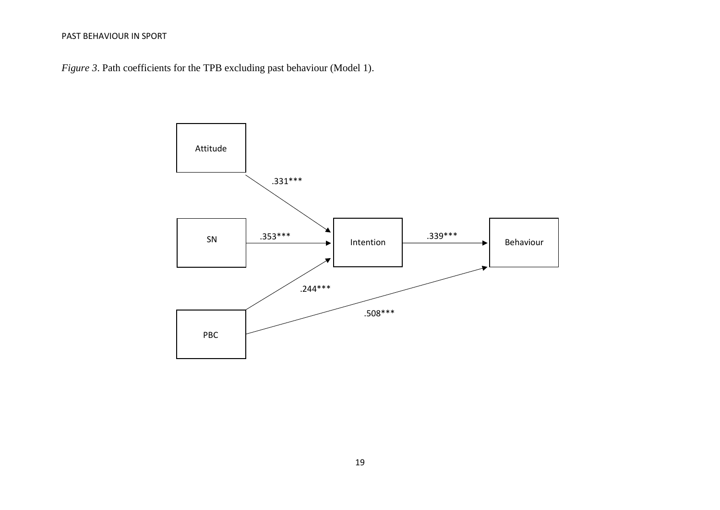*Figure 3*. Path coefficients for the TPB excluding past behaviour (Model 1).